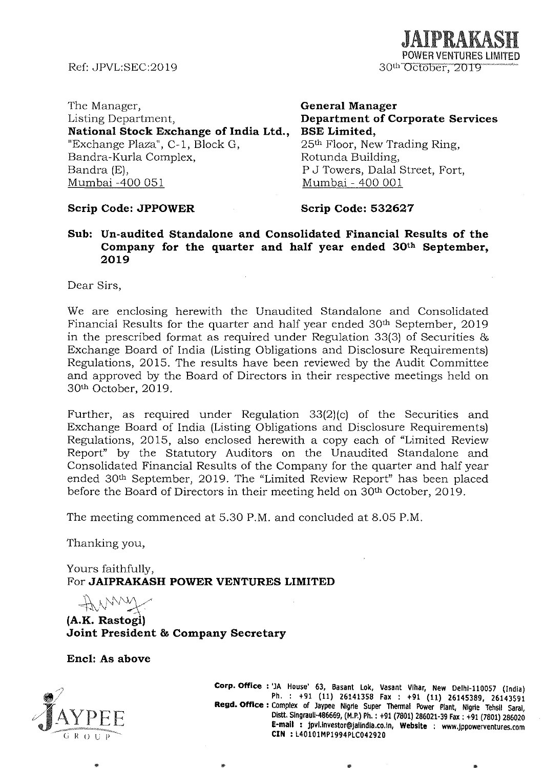Ref: JPVL:SEC:20 19

JAIPRAKASH POWER VENTURES LIMITED 30<sup>th</sup> October, 2019

The Manager, Listing Department, National Stock Exchange of India Ltd., "Exchange Plaza", C-l, Block G, Bandra-Kurla Complex, Bandra (E), Mumbai -400 051

**General Manager Department of Corporate Services BSE Limited,**  25<sup>th</sup> Floor, New Trading Ring, Rotunda Building, P J Towers, Dalal Street, Fort, Mumbai - 400 001

### **Scrip Code: JPPOWER**

### **Scrip Code: 532627**

**Sub: Un-audited Standalone and Consolidated Financial Results of the Company for the quarter and half year ended 30th September, 2019** 

Dear Sirs,

We are enclosing herewith the Unaudited Standalone and Consolidated Financial Results for the quarter and half year ended 30<sup>th</sup> September, 2019 in the prescribed format as required under Regulation 33(3) of Securities & Exchange Board of India (Listing Obligations and Disclosure Requirements) Regulations, 2015. The results have been reviewed by the Audit Committee and approved by the Board of Directors in their respective meetings held on 30<sup>th</sup> October, 2019.

Further, as required under Regulation 33(2)(c) of the Securities and Exchange Board of India (Listing Obligations and Disclosure Requirements) Regulations, 2015, also enclosed herewith a copy each of "Limited Review Report" by the Statutory Auditors on the Unaudited Standalone and Consolidated Financial Results of the Company for the quarter and half year ended 30th September, 2019. The "Limited Review Report" has been placed before the Board of Directors in their meeting held on 30<sup>th</sup> October, 2019.

The meeting commenced at 5.30 P.M. and concluded at 8.05 P.M.

Thanking you,

Yours faithfully, For **JAIPRAKASH POWER VENTURES LIMITED** 

 $41$  NWW

**(A.K. RastogI) Joint President & Company Secretary** 

**Enc1: As above** 



**Corp. Office:** 'JA House' 63, Basant lok, Vasant Vlhar, New Delhl-1I0057 (India) Ph. : +91 (11) 26141358 Fax: +91 (11) 26145389, 26143591 **Regd. Office:** Complex of Jaypee Nlgrie Super Thennal Power Plant, Nlgrie Tehsll 5aral, Olstt. 51ngraull-486669, (M.P.) Ph. : +91 (7801) 286021-39 Fax: +91 (7801) 286020 **E-mail:** JPvl.lnvestor@Jalindla.co.ln, **Website** : www.Jppowerventures.com **CIN** : L40101MP1994PlC042920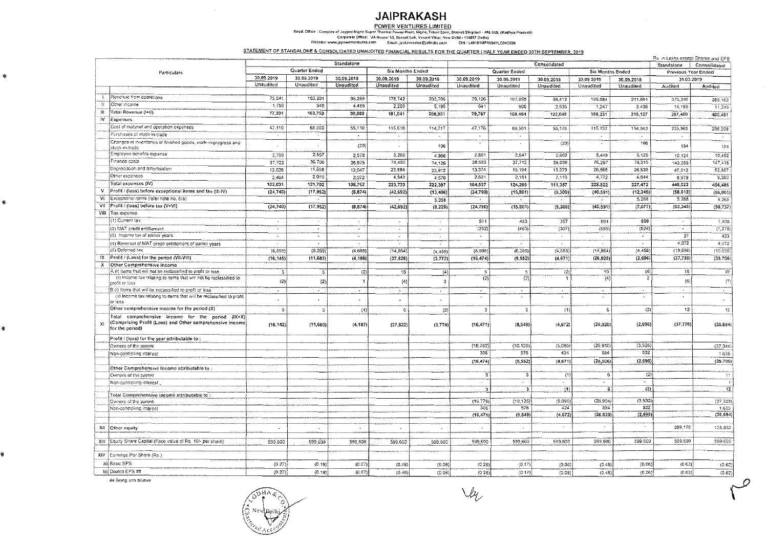## **JAIPRAKASH**

POWER VENTURES LIMITED<br>Regd. Office : Complex of Jaypes Nigete Super Thermal Power Plant. Nigrie, Tensil Saral, District Sleggauli - 486 669, [Madhya Pradesh)<br>Corporate Office: "Ja House" 63, Basant Lok, Vasant Vine, New D

STATEMENT OF STANDALONE & CONSOLIDATED UNAUDITED FINANCIAL RESULTS FOR THE QUARTER / HALF YEAR ENDED 30TH SEPTEMBER, 2019

|              |                                                                                                                                 |            |                          |                     |                         |                |                         |               |                  |                  |                |                     | Rs in Lakhs except Shares and EPS |
|--------------|---------------------------------------------------------------------------------------------------------------------------------|------------|--------------------------|---------------------|-------------------------|----------------|-------------------------|---------------|------------------|------------------|----------------|---------------------|-----------------------------------|
|              |                                                                                                                                 |            |                          | Standalone          |                         |                |                         |               | Consolidated     |                  |                | Standalone          | Consolidated                      |
| Particulars  |                                                                                                                                 |            | Quarter Ended            |                     | <b>Six Months Ended</b> |                |                         | Quarter Ended |                  | Six Months Ended |                | Previous Year Ended |                                   |
|              |                                                                                                                                 | 30.09.2019 | 30.06.2019               | 30.09.2018          | 30.09.2019              | 30.09.2018     | 30.09.2019              | 30.06.2019    | 30.09.2018       | 30.09.2019       | 30,09,2018     | 31.03.2019          |                                   |
|              |                                                                                                                                 | Unaudited  | Unaudited                | Unaudited           | Unaudited               | Unaudited      | Unaudited               | Unaudited     | Unaudited        | Unaudited        | Unaudited      | Audited             | Audited                           |
|              |                                                                                                                                 |            |                          |                     |                         |                |                         |               |                  |                  |                |                     |                                   |
|              | Revenue from operations                                                                                                         | 75,541     | 103,201                  | 95.399              | 178,742                 | 203,706        | 79,126                  | 107,858       | 99,413           | 186,984          | 211,691        | 373,240             | 389,162                           |
| $\mathbf{H}$ | Other income                                                                                                                    | 1,750      | 549                      | 4 489               | 2,299                   | 5,195          | 641                     | 606           | 2,635            | 1,247            | 3,436          | 14,169              | 11,319                            |
| Ш            | Total Revenue (I+II)                                                                                                            | 77,291     | 103,750                  | 99 888              | 181,041                 | 208,901        | 79,767                  | 108,464       | 102,048          | 188,231          | 215,127        | 387,409             | 100,481                           |
| I۷           | Expenses                                                                                                                        |            |                          |                     |                         |                |                         |               |                  |                  |                |                     |                                   |
|              | Cost of material and operation expenses.                                                                                        | 47,110     | 68,500                   | 55,110              | 115 610                 | 114,717        | 47,176                  | 5B.561        | 55,178           | 115.737          | 114,843        | 235,965             | 236,208                           |
|              | Purchases of stock-in-trade                                                                                                     | $\cdot$    | $\sim$                   | $\hat{\phantom{a}}$ | $\cdot$                 | $\sim$         | $\blacksquare$          | $\bullet$     |                  |                  | $\cdot$        | $\cdot$             |                                   |
|              | Changes in inventories of finished goods, work-in-progress and                                                                  |            |                          | (20)                |                         | 106            | $\cdot$                 | $\sim$        | (20)             | $\bullet$        | 106            | 184                 | 184                               |
|              | stock-in-trade                                                                                                                  |            |                          |                     |                         |                |                         |               |                  |                  |                |                     |                                   |
|              | Employee benefits expense                                                                                                       | 2,709      | 2.557                    | 2,578               | 5 2 6 6                 | 4,966          | 2.601                   | 2,647         | 2,662            | 5.448            | 5,125          | 10,124              | 10,492                            |
|              | Finance costs                                                                                                                   | 37,722     | 36,708                   | 36.975              | 74.430                  | 74 126         | 38,585                  | 37,712        | 38,039           | 76,297           | 76,215         | 143,258             | 147.415                           |
|              | Depreciation and amortisation                                                                                                   | 12,026     | 11,858                   | 12.047              | 23.884                  | 23.912         | 13,374                  | 13,194        | 13,379           | 26,568           | 26,539         | 47,512              | 52,807                            |
|              | Other expenses                                                                                                                  | 2,464      | 2,079                    | 2,072               | 4.543                   | 4 570          | 2,621                   | 2.151         | 2,119            | 4.772            | 4,644          | 8,979               | 9,380                             |
|              | Total expenses (IV)                                                                                                             | 102,031    | 121,702                  | 108.762             | 223.733                 | 222,397        | 104,557                 | 124,265       | 111,357          | 228,822          | 227,472        | 446,022             | 456,486                           |
| v            | Profit / (loss) before exceptional items and tax (III-IV)                                                                       | (24, 740)  | (17, 952)                | (8, 874)            | (42, 692)               | (13, 496)      | (24, 790)               | (15, 801)     | (9,309)          | (40, 591)        | (12, 345)      | (58, 613)           | (56,005)                          |
| VI           | Exceptional items (refer note no. 6(a)                                                                                          |            | $\cdot$                  | $\cdot$             | $\sim$                  | 5,268          | $\sim$                  | $\Delta \tau$ |                  | $\sim$           | 5,268          | 5,268               | 5.268                             |
| VII          | Profit / (loss) before tax (V+VI)                                                                                               | (24, 740)  | (17.952)                 | (8, 874)            | (42, 692)               | (8, 228)       | (24, 790)               | (15, 301)     | (9,309)          | (40, 591)        | (7,077)        | (53, 345)           | (50, 737)                         |
|              | VIII Tax expense                                                                                                                |            |                          |                     |                         |                |                         |               |                  |                  |                |                     |                                   |
|              | (1) Current tax                                                                                                                 | $\sim$     | $\overline{\phantom{a}}$ | $\sim$              | $\blacksquare$          |                | 511                     | 483           | 357              | 994              | 699            |                     | 1,408                             |
|              | (2) MAT credit entitlement                                                                                                      |            | $\Delta$                 | $\cdot$             |                         |                | (232)                   | (463)         | (307)            | (695)            | (624)          | $\blacksquare$      | (1, 278)                          |
|              | (3) income tax of earlier years                                                                                                 | $\sim$     | $\cdot$                  | $\sim$              | $\tilde{\phantom{a}}$   | $\epsilon$     | $\overline{a}$          | ×.            | $\sim$           | ×.               | $\sim$         | $\overline{27}$     | 423                               |
|              | (4) Reversal of MAT credit entitlement of earlier years                                                                         |            | $\hat{\phantom{a}}$      | $\sim$              | $\hat{\phantom{a}}$     | $\sim$         | $\bullet$               | $\sim$        |                  |                  | $\sim$         | 4,072               | 4.072                             |
|              | (5) Deferred tax                                                                                                                | (8,595)    | (6, 269)                 | (4,688)             | (14, 864)               | (4.456)        | (8, 595)                | (6, 269)      | (4,688)          | (14, 864)        | (4, 456)       | (19,656)            | (19.656)                          |
|              | IX [Profit / (Loss) for the period (VII-VIII)                                                                                   | (16, 345)  | (11, 683)                | (4, 186)            | (27, 828)               | (3.772)        | (16, 474)               | (9, 552)      | (4,671)          | (26, 026)        | (2,696)        | (37, 788)           | (35, 706)                         |
| x            | Other Comprehensive Income                                                                                                      |            |                          |                     |                         |                |                         |               |                  |                  |                |                     |                                   |
|              | A (i) items that will not be reclassified to profit or loss                                                                     | 5          | -5                       | (2)                 | 10                      | (4)            | 5                       | -5            | (2)              | 10               | (4)            | 18                  | -19                               |
|              | (ii) Income lax relating to items that will not be reclassified to                                                              | (2)        | (2)                      |                     | (4)                     | $\overline{2}$ | (2)                     | (2)           | 1                | (4)              | $\overline{z}$ | (6)                 | $\langle T \rangle$               |
|              | profit or loss                                                                                                                  |            |                          |                     |                         |                |                         |               |                  |                  |                | $\sim$              |                                   |
|              | B (i) items that will be reclassified to profit or loss<br>(a) Income tax relating to items that will be reclassified to profit | $\sim$     | $\sim$                   | $\cdot$             |                         | $\blacksquare$ | $\sim$                  | $\sim$        | $\sim$<br>$\sim$ | $\sim$           |                |                     | $\sim$                            |
|              | ar less                                                                                                                         |            | ٠                        |                     |                         |                |                         |               |                  |                  |                |                     | $\sim$                            |
|              | Other comprehensive income for the period (X)                                                                                   | -3         | 3                        | (1)                 | 6                       | (2)            | 3                       | 3             | (1)              | 6                | (2)            | 12                  | 12 <sub>12</sub>                  |
|              | Total comprehensive income for the period $(IX+X)$                                                                              |            |                          |                     |                         |                |                         |               |                  |                  |                |                     |                                   |
| $x_1$        | (Comprising Profit (Loss) and Other comprehensive income                                                                        | (16, 142)  | (11,680)                 | (4, 187)            | (27.822)                | (3,774)        | (16, 471)               | (9.549)       | (4,672)          | (26, 020)        | (2,698)        | (37, 776)           | (35, 694)                         |
|              | for the period)                                                                                                                 |            |                          |                     |                         |                |                         |               |                  |                  |                |                     |                                   |
|              | Profit / (loss) for the year attributable to:                                                                                   |            |                          |                     |                         |                |                         |               |                  |                  |                |                     |                                   |
|              | Owners of the parent                                                                                                            |            |                          |                     |                         |                | (16.782                 | (10,128)      | (5.095)          | (26, 910)        | (3,528)        |                     | (37, 344)                         |
|              | Non-controlling interest                                                                                                        |            |                          |                     |                         |                | 308                     | 576           | 424              | 884              | 832            |                     | 1,638                             |
|              |                                                                                                                                 |            |                          |                     |                         |                | (16.474                 | (9.552)       | (4,671)          | (26, 026)        | (2,696)        |                     | (35,706)                          |
|              | Other Comprehensive Income attributable to:                                                                                     |            |                          |                     |                         |                |                         |               |                  |                  |                |                     |                                   |
|              | Owners of the parent                                                                                                            |            |                          |                     |                         |                | 3                       | -3            | (1)              | $-6$             | (2)            |                     | 11                                |
|              | Non-controlling interest                                                                                                        |            |                          |                     |                         |                | $\sim$                  | $\epsilon$    |                  |                  | $\sim$         |                     | $\mathcal{L}$                     |
|              |                                                                                                                                 |            |                          |                     |                         |                | $\overline{\mathbf{3}}$ | -3            | (1)              | 6 <sub>1</sub>   | $\overline{2}$ |                     | 12                                |
|              | Total Comprehensive income attributable to                                                                                      |            |                          |                     |                         |                |                         |               |                  |                  |                |                     |                                   |
|              | Owners of the parent                                                                                                            |            |                          |                     |                         |                | (16.779)                | (10.125)      | (5.096)          | (26, 904)        | (3,530)        |                     | (37, 333)                         |
|              | Non-controlling interest                                                                                                        |            |                          |                     |                         |                | 308                     | 576           | 424              | 884              | 832            |                     | 1,639                             |
|              |                                                                                                                                 |            |                          |                     |                         |                | (16.47)                 | (9, 549)      | (4, 672)         | (26, 020)        | (2,698)        |                     | (35, 694)                         |
|              |                                                                                                                                 |            |                          |                     |                         |                |                         |               |                  |                  |                |                     |                                   |
|              | XII Other equity                                                                                                                |            |                          | $\bullet$           |                         |                | $\sim$                  | $\Delta$      | $\epsilon$       |                  |                | 299,170             | 138,833                           |
|              |                                                                                                                                 |            |                          |                     |                         |                |                         |               |                  |                  |                | 599,600             |                                   |
|              | XIII Equity Share Capital (Face value of Rs. 10/- per share)                                                                    | 599,600    | 599,600                  | 599,600             | 599,600                 | 599,600        | 599,600                 | 599,600       | 599,600          | 599,600          | 599,600        |                     | 599,600                           |
|              | XIV   Earnings Per Share (Rs.)                                                                                                  |            |                          |                     |                         |                |                         |               |                  |                  |                |                     |                                   |
|              |                                                                                                                                 |            |                          |                     |                         |                |                         |               |                  |                  |                |                     |                                   |
|              | a) Basic EPS                                                                                                                    | (0.27)     | (0.19)                   | (0.07)              | (0.46)                  | (0.06)         | (0.28)                  | (0.17)        | (0.08)           | (0.45)           | (0.06)         | (0.63)              | (0.62)                            |
|              | b) Diluted EPS ##                                                                                                               | (0.27)     | (0.19)                   | (0.07)              | (0.46)                  | (0.06)         | (0.28)                  | (0.17)        | (0.08)           | (0.45)           | (0.06)         | (0.63)              | (0.62)                            |

## Being anti-dilutive

ą,

Q.

鵆

 $V\!\!\!\!V\!\!\!\!V$ 

 $\mathcal{Q}$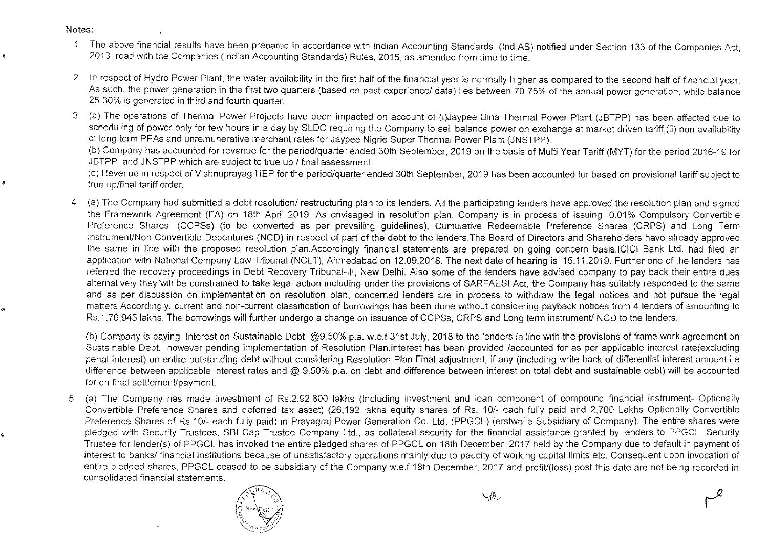Notes:

•

•

•

- The above financial results have been prepared in accordance with Indian Accounting Standards (Ind AS) notified under Section 133 of the Companies Act,  $\overline{1}$ • 2013. read with the Companies (Indian Accounting Standards) Rules, 2015, as amended from time to time.
- 2 In respect of Hydro Power Plant, the water availability in the first half of the financial year is normally higher as compared to the second half of financial year. As such, the power generation in the first two quarters (based on past experience/ data) lies between 70-75% of the annual power generation, while balance 25-30% is generated in third and fourth quarter.
- 3 (a) The operations of Thermal Power Projects have been impacted on account of (i)Jaypee Bina Thermal Power Plant (JBTPP) has been affected due to scheduling of power only for few hours in a day by SLDC requiring the Company to sell balance power on exchange at market driven tariff,(ii) non availability of long term PPAs and unremunerative merchant rates for Jaypee Nigrie Super Thermal Power Plant (JNSTPP).

(b) Company has accounted for revenue for the period/quarter ended 30th September, 2019 on the basis of Multi Year Tariff (MYT) for the period 2016-19 for JBTPP and JNSTPP which are subject to true up / final assessment.

(c) Revenue in respect of Vishnuprayag HEP for the period!quarter ended 30th September, 2019 has been accounted for based on provisional tariff subject to true up/final tariff order.

4 (a) The Company had submitted a debt resolution/ restructuring plan to its lenders. All the participating lenders have approved the resolution plan and signed the Framework Agreement (FA) on 18th April 2019. As envisaged in resolution plan, Company is in process of issuing 0.01% Compulsory Convertible Preference Shares (CCPSs) (to be converted as per prevailing guidelines), Cumulative Redeemable Preference Shares (CRPS) and Long Term Instrument/Non Convertible Debentures (NCD) in respect of part of the debt to the lenders. The Board of Directors and Shareholders have already approved the same in line with the proposed resolution plan.Accordingly financial statements are prepared on going concern basis.ICICI Bank Ltd. had filed an application with National Company Law Tribunal (NCLT), Ahmedabad on 12.09.2018. The next date of hearing is 15.11.2019. Further one of the lenders has referred the recovery proceedings in Debt Recovery Tribunal-III, New Delhi. Also some of the lenders have advised company to pay back their entire dues alternatively they'will be constrained to take legal action including under the provisions of SARFAESI Act, the Company has suitably responded to the same and as per discussion on implementation on resolution plan, concerned lenders are in process to withdraw the legal notices and not pursue the legal matters.Accordingly, current and non-current classification of borrowings has been done without considering payback notices from 4 lenders of amounting to Rs.1.76,945 lakhs. The borrowings will further undergo a change on issuance of CCPSs, CRPS and Long term instrument/ NCD to the lenders.

(b) Company is paying Interest on Sustainable Debt @9.50% p.a. w.e.f 31st July, 2018 to the lenders in line with the provisions of frame work agreement on Sustainable Debt, however pending implementation of Resolution Plan,interest has been provided /accounted for as per applicable interest rate(excluding penal interest) on entire outstanding debt without considering Resolution Plan. Final adjustment, if any (including write back of differential interest amount i.e difference between applicable interest rates and @ 9.50% p.a. on debt and difference between interest on total debt and sustainable debt) will be accounted for on final settlement/payment.

5 (a) The Company has made investment of Rs.2,92,800 lakhs (Including investment and loan component of compound financial instrument- Optionally Convertible Preference Shares and deferred tax asset) (26,192 lakhs equity shares of Rs. 10!- each fully paid and 2,700 Lakhs Optionally Convertible Preference Shares of Rs.10/- each fully paid) in Prayagraj Power Generation Co. Ltd. (PPGCL) (erstwhile Subsidiary of Company). The entire shares were pledged with Security Trustees, SBI Cap Trustee Company Ltd., as collateral security for the financial assistance granted by lenders to PPGCL. Security Trustee for lender(s) of PPGCL has invoked the entire pledged shares of PPGCL on 18th December, 2017 held by the Company due to default in payment of interest to banks/ financial institutions because of unsatisfactory operations mainly due to paucity of working capital limits etc. Consequent upon invocation of entire pledged shares, PPGCL ceased to be subsidiary of the Company w.e.f 18th December, 2017 and profit/(loss) post this date are not being recorded in consolidated financial statements.



*"-f?v* rY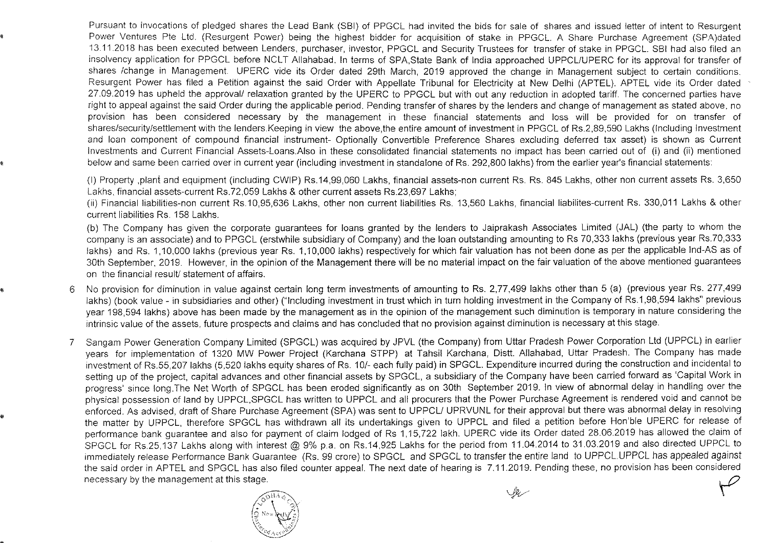Pursuant to invocations of pledged shares the Lead Bank (SBI) of PPGCL had invited the bids for sale of shares and issued letter of intent to Resurgent Power Ventures Pte Ltd. (Resurgent Power) being the highest bidder for acquisition of stake in PPGCL. A Share Purchase Agreement (SPA)dated 13.11.2018 has been executed between Lenders, purchaser, investor, PPGCL and Security Trustees for transfer of stake in PPGCL. SBI had also filed an insolvency application for PPGCL before NCLT Allahabad. In terms of SPA,State Bank of India approached UPPCL/UPERC for its approval for transfer of shares Ichange in Management. UPERC vide its Order dated 29th March, 2019 approved the change in Management subject to certain conditions. Resurgent Power has filed a Petition against the said Order with Appellate Tribunal for Electricity at New Delhi (APTEL). APTEL vide its Order dated 27.09.2019 has upheld the approvall relaxation granted by the UPERC to PPGCL but with out any reduction in adopted tariff. The concerned parties have right to appeal against the said Order during the applicable period. Pending transfer of shares by the lenders and change of management as stated above, no provision has been considered necessary by the management in these financial statements and loss will be provided for on transfer of shares/security/settlement with the lenders. Keeping in view the above,the entire amount of investment in PPGCL of Rs.2,89,590 Lakhs (Including Investment and loan component of compound financial instrument- Optionally Convertible Preference Shares excluding deferred tax asset) is shown as Current Investments and Current Financial Assets-Loans.Also in these consolidated financial statements no impact has been carried out of (i) and (ii) mentioned below and same been carried over in current year (including investment in standalone of Rs. 292,800 lakhs) from the earlier year's financial statements:

(I) Property ,planl and equipment (including CWIP) Rs.14,99,060 Lakhs, financial assets-non current Rs. Rs. 845 Lakhs, other non current assets Rs. 3,650 Lakhs, financial assets-current Rs.72,059 Lakhs & other current assets Rs.23,697 Lakhs;

(ii) Financial liabilities-non current Rs.10,95,636 Lakhs, other non current liabilities Rs. 13,560 Lakhs, financial liabilites-current Rs. 330,011 Lakhs & other current liabilities Rs. 158 Lakhs.

(b) The Company has given the corporate guarantees for loans granted by the lenders to Jaiprakash Associates Limited (JAL) (the party to whom the company is an associate) and to PPGCL (erstwhile subsidiary of Company) and the loan outstanding amounting to Rs 70,333 lakhs (previous year Rs.70,333 lakhs) and Rs. 1,10,000 lakhs (previous year Rs. 1,10,000 lakhs) respectively for which fair valuation has not been done as per the applicable Ind-AS as of 30th September, 2019. However, in the opinion of the Management there will be no material impact on the fair valuation of the above mentioned guarantees on the financial result/ statement of affairs.

- 6 No provision for diminution in value against certain long term investments of amounting to Rs. 2,77,499 lakhs other than 5 (a) (previous year Rs. 277,499 lakhs) (book value - in subsidiaries and other) ("Including investment in trust which in turn holding investment in the Company of Rs.1 ,98,594 lakhs" previous year 198,594 lakhs) above has been made by the management as in the opinion of the management such diminution is temporary in nature considering the intrinsic value of the assets, future prospects and claims and has concluded that no provision against diminution is necessary at this stage.
- 7 Sangam Power Generation Company Limited (SPGCL) was acquired by JPVL (the Company) from Uttar Pradesh Power Corporation Ltd (UPPCL) in earlier years for implementation of 1320 MW Power Project (Karchana STPP) at Tahsil Karchana, Distt. Allahabad, Uttar Pradesh. The Company has made investment of Rs.55,207 lakhs (5,520 lakhs equity shares of Rs. 10/- each fully paid) in SPGCL. Expenditure incurred during the construction and incidental to setting up of the project, capital advances and other financial assets by SPGCL, a subsidiary of the Company have been carried forward as 'Capital Work in progress' since 10ng.The Net Worth of SPGCL has been eroded significantly as on 30th September 2019. In view of abnormal delay in handling over the physical possession of land by UPPCL,SPGCL has written to UPPCL and all procurers that the Power Purchase Agreement is rendered void and cannot be enforced. As advised, draft of Share Purchase Agreement (SPA) was sent to UPPCL/ UPRVUNL for their approval but there was abnormal delay in resolving the matter by UPPCL, therefore SPGCL has withdrawn all its undertakings given to UPPCL and filed a petition before Hon'ble UPERC for release of performance bank guarantee and also for payment of claim lodged of Rs 1,15,722 lakh. UPERC vide its Order dated 28.06.2019 has allowed the claim of SPGCL for Rs.25,137 Lakhs along with interest @ 9% p.a. on RS.14,925 Lakhs for the period from 11.04.2014 to 31.03.2019 and also directed UPPCL to immediately release Performance Bank Guarantee (Rs. 99 crore) to SPGCL and SPGCL to transfer the entire land to UPPCL.UPPCL has appealed against the said order in APTEL and SPGCL has also filed counter appeal. The next date of hearing is 7.11.2019. Pending these, no provision has been considered necessary by the management at this stage.  $\mathscr{P}$

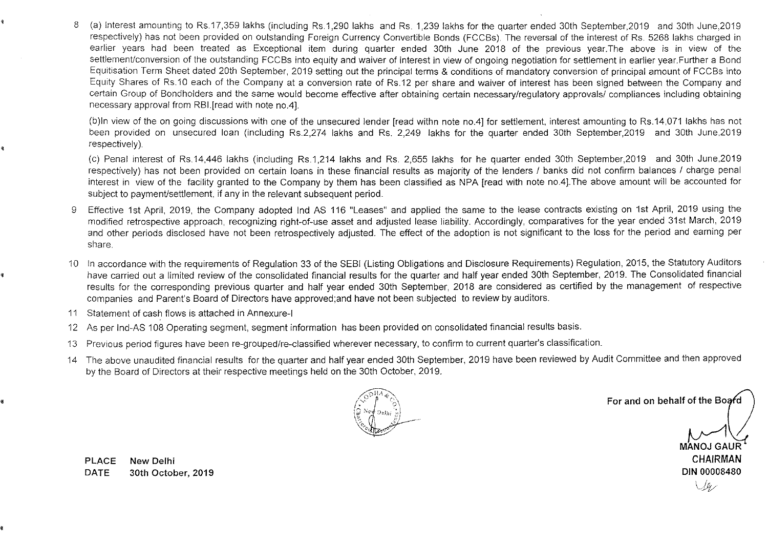8 (a) Interest amounting to Rs.17,359 lakhs (including Rs.1,290 lakhs and Rs. 1,239 lakhs for the quarter ended 30th September,2019 and 30th June,2019 respectively) has not been provided on outstanding Foreign Currency Convertible Bonds (FCCBs). The reversal of the interest of Rs. 5268 lakhs charged in earlier years had been treated as Exceptional item during quarter ended 30th June 2018 of the previous year.The above is in view of the settlement/conversion of the outstanding FCCBs into equity and waiver of interest in view of ongoing negotiation for settlement in earlier year. Further a Bond Equitisation Term Sheet dated 20th September, 2019 setting out the principal terms & conditions of mandatory conversion of principal amount of FCCBs into Equity Shares of RS.10 each of the Company at a conversion rate of Rs.12 per share and waiver of interest has been signed between the Company and certain Group of Bondholders and the same would become effective after obtaining certain necessary/regulatory approvals/ compliances including obtaining necessary approval from RBI.[read with note no.4l.

(b)ln view of the on going discussions with one of the unsecured lender [read withn note no.4l for settlement, interest amounting to Rs.14,071 lakhs has not been provided on unsecured loan (including Rs.2,274 lakhs and Rs. 2,249 lakhs for the quarter ended 30th September,2019 and 30th June,2019 respectively).

(c) Penal interest of RS.14,446 lakhs (including Rs.1,214 lakhs and Rs. 2,655 lakhs for he quarter ended 30th September,2019 and 30th June,2019 respectively) has not been provided on certain loans in these financial results as majority of the lenders / banks did not confirm balances / charge penal interest in view of the facility granted to the Company by them has been classified as NPA [read with note nO.4J.The above amount will be accounted for subject to payment/settlement, if any in the relevant subsequent period.

- 9 Effective 1st April, 2019, the Company adopted Ind AS 116 "Leases" and applied the same to the lease contracts existing on 1st April, 2019 using the modified retrospective approach, recognizing right-of-use asset and adjusted lease liability. Accordingly, comparatives for the year ended 31st March, 2019 and other periods disclosed have not been retrospectively adjusted. The effect of the adoption is not significant to the loss for the period and earning per share.
- 10 In accordance with the requirements of Regulation 33 of the SEBI (Listing Obligations and Disclosure Requirements) Regulation, 2015, the Statutory Auditors have carried out a limited review of the consolidated financial results for the quarter and half year ended 30th September, 2019. The Consolidated financial results for the corresponding previous quarter and half year ended 30th September, 2018 are considered as certified by the management of respective companies and Parent's Board of Directors have approved;and have not been subjected to review by auditors.
- 11 Statement of cash flows is attached in Annexure-I

,

,

- 12 As per Ind-AS 108 Operating segment, segment information has been provided on consolidated financial results basis.
- 13 Previous period figures have been re-grouped/re-classified wherever necessary, to confirm to current quarter's classification.
- 14 The above unaudited financial results for the quarter and half year ended 30th September, 2019 have been reviewed by Audit Committee and then approved by the Board of Directors at their respective meetings held on the 30th October, 2019.



For and on behalf of the Board

MANOJ GAUR **CHAIRMAN DIN 00008480**   $\cup\ell$ 

PLACE **New Delhi DATE 30th** October, **2019**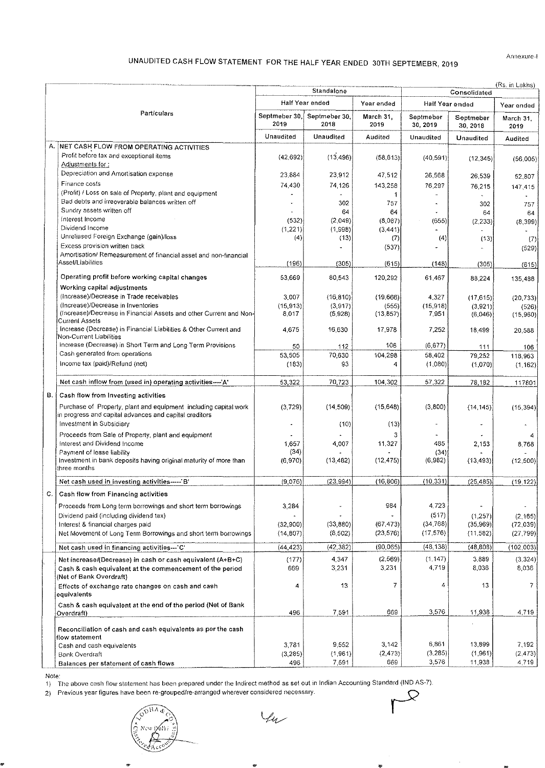# UNAUDITED CASH FLOW STATEMENT FOR THE HALF YEAR ENDED 30TH SEPTEMEBR, 2019

Annexure-I

|    |                                                                                                                        | Standalone            |                       |                        | (Rs. in Lakhs)<br>Consolidated |                       |                        |  |  |
|----|------------------------------------------------------------------------------------------------------------------------|-----------------------|-----------------------|------------------------|--------------------------------|-----------------------|------------------------|--|--|
|    |                                                                                                                        |                       | Half Year ended       | Year ended             | Half Year ended                |                       | Year ended             |  |  |
|    | Particulars                                                                                                            | Septmeber 30,<br>2019 | Septmeber 30,<br>2018 | March 31,<br>2019      | Septmeber<br>30, 2019          | Septmeber<br>30, 2018 | March 31,<br>2019      |  |  |
|    |                                                                                                                        | Unaudited             | <b>Unaudited</b>      | Audited                | Unaudited                      | <b>Unaudited</b>      | Audited                |  |  |
|    | A. NET CASH FLOW FROM OPERATING ACTIVITIES                                                                             |                       |                       |                        |                                |                       |                        |  |  |
|    | Profit before tax and exceptional items<br>Adjustments for:                                                            | (42, 692)             | (13, 496)             | (58, 613)              | (40, 591)                      | (12, 345)             | (56,005)               |  |  |
|    | Depreciation and Amortisation expense                                                                                  | 23.884                | 23,912                | 47.512                 | 26,568                         | 26.539                | 52,807                 |  |  |
|    | Finance costs                                                                                                          | 74.430                | 74,126                | 143,258                | 76,297                         | 76.215                | 147,415                |  |  |
|    | (Profit) / Loss on sale of Property, plant and equipment                                                               |                       |                       | 1                      | $\omega$                       |                       |                        |  |  |
|    | Bad debts and irreoverable balances written off<br>Sundry assets written off                                           |                       | 302                   | 757                    |                                | 302                   | 757                    |  |  |
|    | interest income                                                                                                        | (532)                 | 64<br>(2.049)         | 64<br>(8,087)          | (655)                          | 64<br>(2, 233)        | 64<br>(8, 399)         |  |  |
|    | Dividend Income                                                                                                        | (1,221)               | (1,998)               | (3, 441)               |                                |                       |                        |  |  |
|    | Unreliased Foreign Exchange (gain)/loss                                                                                | (4)                   | (13)                  | (7)                    | (4)                            | (13)                  | (7)                    |  |  |
|    | Excess provision written back<br>Amortisation/ Remeasurement of financial asset and non-financial                      |                       |                       | (537)                  |                                |                       | (529)                  |  |  |
|    | Asset/Liabilities                                                                                                      | (196)                 | (305)                 | (615)                  | (148)                          | (305)                 | (615)                  |  |  |
|    | Operating profit before working capital changes                                                                        | 53,669                | 80,543                | 120,292                | 61,467                         | 88 224                | 135,488                |  |  |
|    | Working capital adjustments                                                                                            |                       |                       |                        |                                |                       |                        |  |  |
|    | (Increase)/Decrease in Trade receivables                                                                               | 3.007                 | (16, 810)             | (19,666)               | 4,327                          | (17.615)              | (20, 733)              |  |  |
|    | (Increase)/Decrease in Inventories<br>(Increase)/Decrease in Financial Assets and other Current and Non-               | (15, 913)<br>8,017    | (3,917)<br>(5,928)    | (555)<br>(13, 857)     | (15,918)<br>7,951              | (3,921)<br>(6,046)    | (526)                  |  |  |
|    | Current Assets                                                                                                         |                       |                       |                        |                                |                       | (15,960)               |  |  |
|    | Increase (Decrease) in Financial Liabilities & Other Current and<br>Non-Current Liabilities                            | 4.675                 | 16,630                | 17,978                 | 7,252                          | 18,499                | 20,588                 |  |  |
|    | Increase (Decrease) in Short Term and Long Term Provisions                                                             | 50                    | 112                   | 106                    | (6,677)                        | 111                   | 106                    |  |  |
|    | Cash generated from operations                                                                                         | 53,505                | 70,630                | 104,298                | 58,402                         | 79,252                | 118,963                |  |  |
|    | Income tax (paid)/Refund (net)                                                                                         | (183)                 | 93                    | 4                      | (1,080)                        | (1,070)               | (1, 162)               |  |  |
|    | Net cash inflow from (used in) operating activities---- 'A'                                                            | 53.322                | 70,723                | 104,302                | 57,322                         | 78,182                | 117801                 |  |  |
| В. | Cash flow from Investing activities                                                                                    |                       |                       |                        |                                |                       |                        |  |  |
|    | Purchase of Property, plant and equipment including capital work                                                       | (3, 729)              | (14, 509)             | (15, 648)              | (3,800)                        | (14, 145)             | (15, 394)              |  |  |
|    | in progress and capital advances and capital creditors<br>Investment in Subsidiary                                     |                       | (10)                  | (13)                   |                                |                       |                        |  |  |
|    | Proceeds from Sale of Property, plant and equipment                                                                    |                       |                       | 3                      |                                |                       |                        |  |  |
|    | Interest and Dividend Income<br>Payment of lease liability                                                             | 1657<br>(34)          | 4.007                 | 11,327                 | 485<br>(34)                    | 2,153                 | 8,768                  |  |  |
|    | Investment in bank deposits having original maturity of more than<br>three months                                      | (6,970)               | (13, 482)             | (12, 475)              | (6,982)                        | (13, 493)             | (12, 500)              |  |  |
|    | Net cash used in investing activities----- B'                                                                          | (9.076)               | (23, 994)             | (16, 806)              | (10, 331)                      | (25, 485)             | (19, 122)              |  |  |
| С. | Cash flow from Financing activities                                                                                    |                       |                       |                        |                                |                       |                        |  |  |
|    | Proceeds from Long term borrowings and short term borrowings                                                           | 3,284                 | ÷                     | 984                    | 4,723                          |                       |                        |  |  |
|    | Dividend paid (including dividend tax)                                                                                 |                       |                       |                        | (517)                          | (1, 257)              | (2, 165)               |  |  |
|    | Interest & financial charges paid<br>Net Movement of Long Term Borrowings and short term borrowings                    | (32,900)<br>(14, 807) | (33, 880)<br>(8,502)  | (67, 473)<br>(23, 576) | (34, 768)<br>(17, 576)         | (35,969)<br>(11, 582) | (72, 039)<br>(27, 799) |  |  |
|    |                                                                                                                        |                       |                       |                        |                                |                       |                        |  |  |
|    | Net cash used in financing activities--- C'                                                                            | (44, 423)             | (42, 382)             | (90,065)               | (48, 138)                      | (48, 808)             | (102, 003)             |  |  |
|    | Net increase/(Decrease) in cash or cash equivalent (A+B+C)<br>Cash & cash equivalent at the commencement of the period | (177)<br>669          | 4.347<br>3,231        | (2, 569)<br>3,231      | (1, 147)<br>4,719              | 3,889<br>8,036        | (3, 324)<br>8,036      |  |  |
|    | (Net of Bank Overdraft)<br>Effects of exchange rate changes on cash and cash<br>equivalents                            | 4                     | 13                    | 7                      | 4                              | 13                    | 7                      |  |  |
|    | Cash & cash equivalent at the end of the period (Net of Bank<br>Overdraft)                                             | 496                   | 7,591                 | 669                    | 3,576                          | 11,938                | 4,719                  |  |  |
|    | Reconciliation of cash and cash equivalents as per the cash                                                            |                       |                       |                        |                                |                       |                        |  |  |
|    | flow statement<br>Cash and cash equivalents                                                                            | 3.781                 | 9,552                 | 3,142                  | 6,861                          | 13,899                | 7,192                  |  |  |
|    | <b>Bank Overdraft</b>                                                                                                  | (3, 285)              | (1,961)               | (2, 473)               | (3, 285)                       | (1,961)               | (2,473)                |  |  |
|    | Balances per statement of cash flows                                                                                   | 496                   | 7,591                 | 669                    | 3,576                          | 11,938                | 4,719                  |  |  |

2) Previous year figures have been re-groupedfre·arranged wherever considered necessary.

 $44$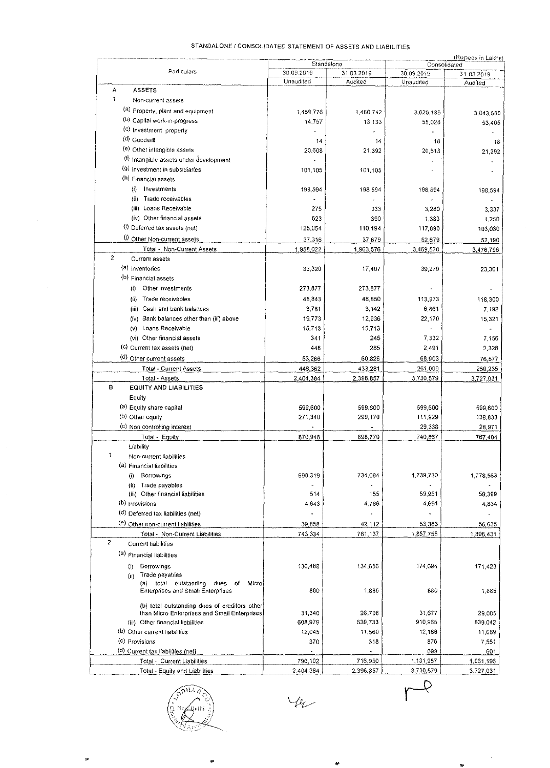#### STANDALONE / CONSOLIDATED STATEMENT OF ASSETS AND LIABILITIES

|                                               | Standalone              |                   | (Rupees in Lakhs)<br>Consolidated |            |  |  |
|-----------------------------------------------|-------------------------|-------------------|-----------------------------------|------------|--|--|
| Particulars                                   | 30.09.2019<br>Unaudited | 31.03.2019        | 30.09.2019                        | 31.03.2019 |  |  |
| Α<br><b>ASSETS</b>                            |                         | Audited           | Unaudited                         | Audited    |  |  |
| 1<br>Non-current assets                       |                         |                   |                                   |            |  |  |
|                                               |                         |                   |                                   |            |  |  |
| (a) Property, plant and equipment             | 1.459,776               | 1,480,742         | 3.020.185                         | 3,043,580  |  |  |
| (b) Capital work-in-progress                  | 14,757                  | 13,133            | 55,028                            | 53,405     |  |  |
| (c) Investment property                       |                         |                   |                                   |            |  |  |
| (d) Goodwill                                  | 14                      | 14                | 18                                |            |  |  |
| (e) Other intangible assets                   | 20,608                  | 21,392            | 20,513                            | 21,392     |  |  |
| (f) Intangible assets under development       |                         |                   |                                   |            |  |  |
| (9) Investment in subsidiaries                | 101,105                 | 101,105           |                                   |            |  |  |
| (h) Financial assets                          |                         |                   |                                   |            |  |  |
| (i)<br>Investments                            | 198,594                 | 198,594           | 198,594                           | 198,594    |  |  |
| Trade receivables<br>(ii).                    |                         |                   |                                   |            |  |  |
| (iii) Loans Receivable                        | 275                     | 333               | 3,280                             | 3,337      |  |  |
| (iv) Other financial assets                   | 523                     | 390               | 1,383                             | 1,250      |  |  |
| (i) Deferred tax assets (net)                 | 125,054                 | 110,194           | 117,890                           | 103,030    |  |  |
| (i) Other Non-current assets                  |                         |                   | 52,679                            |            |  |  |
|                                               | 37,316                  | 37,679            |                                   | 52,190     |  |  |
| Total - Non-Current Assets<br>$\overline{2}$  | 1,958,022               | 1,963,576         | 3.469,570                         | 3,476,796  |  |  |
| Current assets                                |                         |                   |                                   |            |  |  |
| $(a)$ inventories                             | 33,320                  | 17,407            | 39,279                            | 23,361     |  |  |
| (b) Financial assets                          |                         |                   |                                   |            |  |  |
| Other investments<br>(i)                      | 273,877                 | 273,877           |                                   |            |  |  |
| Trade receivables<br>(n)                      | 45,843                  | 48,850            | 113,973                           | 118,300    |  |  |
| (iii) Cash and bank balances                  | 3,781                   | 3,142             | 6,861                             | 7,192      |  |  |
| (iv) Bank balances other than (iii) above     | 19,773                  | 12,936            | 22,170                            | 15,321     |  |  |
| (v) Loans Receivable                          | 15.713                  | 15,713            |                                   |            |  |  |
| (vi) Other financial assets                   | 341                     | 245               | 7,332                             | 7,156      |  |  |
| (c) Current tax assets (net)                  | 448                     | 285               | 2,491                             | 2,328      |  |  |
|                                               |                         |                   |                                   |            |  |  |
| (d) Other current assets                      | 53,266                  | 60,826            | 68,903                            | 76,577     |  |  |
| Total - Current Assets                        | 446,362                 | 433,281           | 261,009                           | 250,235    |  |  |
| Total - Assets                                | 2,404,384               | 2,396,857         | 3,730,579                         | 3.727,031  |  |  |
| в<br><b>EQUITY AND LIABILITIES</b>            |                         |                   |                                   |            |  |  |
| Equity                                        |                         |                   |                                   |            |  |  |
| (a) Equity share capital                      | 599,600                 | 599,600           | 599,600                           | 599,600    |  |  |
| (b) Other equity                              | 271,348                 | 299,170           | 111,929                           | 138,833    |  |  |
| (c) Non controlling interest                  |                         |                   | 29,338                            | 28,971     |  |  |
| Total - Equity                                | 870,948                 | 898,770           | 740,867                           | 767,404    |  |  |
| Liability                                     |                         |                   |                                   |            |  |  |
| 1<br>Non-current liabilities                  |                         |                   |                                   |            |  |  |
| (a) Financial liabilities                     |                         |                   |                                   |            |  |  |
| Borrowings<br>$\left( i\right)$               | 698,319                 | 734,084           | 1,739,730                         | 1,778,563  |  |  |
| (ii) Trade payables                           | u,                      |                   |                                   |            |  |  |
| (iii) Other financial liabilities             | 514                     | 155               | 59,951                            | 59,399     |  |  |
| (b) Provisions                                | 4643                    | 4,786             | 4,691                             | 4,834      |  |  |
| (d) Deferred tax liabilities (net)            |                         |                   |                                   |            |  |  |
|                                               |                         |                   |                                   |            |  |  |
| (e) Other non-current liabilities             | 39.858                  | 42,112            | 53,383                            | 55,635     |  |  |
| Total - Non-Current Liabilities               | 743 334                 | 781,137           | 1,857,755                         | 1.898,431  |  |  |
| $\overline{2}$<br><b>Current liabilities</b>  |                         |                   |                                   |            |  |  |
| (a) Financial liabilities                     |                         |                   |                                   |            |  |  |
| Borrowings<br>(i)                             | 136 488                 | 134,656           | 174,694                           | 171,423    |  |  |
| Trade payables<br>(ii)                        |                         |                   |                                   |            |  |  |
| (a) total outstanding<br>dues<br>of<br>Microl |                         |                   |                                   |            |  |  |
| <b>Enterprises and Small Enterprises</b>      | 880                     | 1,885             | 880                               | 1,885      |  |  |
|                                               |                         |                   |                                   |            |  |  |
| (b) total outstanding dues of creditors other |                         |                   | 31,677                            |            |  |  |
| than Micro Enterprises and Small Enterprises  | 31,340                  | 28,798<br>539,733 | 910,965                           | 29,005     |  |  |
| (iii) Other financial liabilities             | 608,979                 |                   |                                   | 839,042    |  |  |
| (b) Other current liabilities                 | 12.045                  | 11,560            | 12,166                            | 11,689     |  |  |
| (c) Provisions                                | 370                     | 318               | 876                               | 7,551      |  |  |
| (d) Current tax liabilities (net)             |                         |                   | 699                               | 601        |  |  |
| Total - Current Liabilities                   | 790.102                 | 716,950           | 1,131,957                         | 1,061,196  |  |  |
| Total - Equity and Liabilities                | 2,404,384               | 2.396.857         | 3,730,579                         | 3,727,031  |  |  |

÷

 $44$ 

 $\overline{\mathcal{L}}$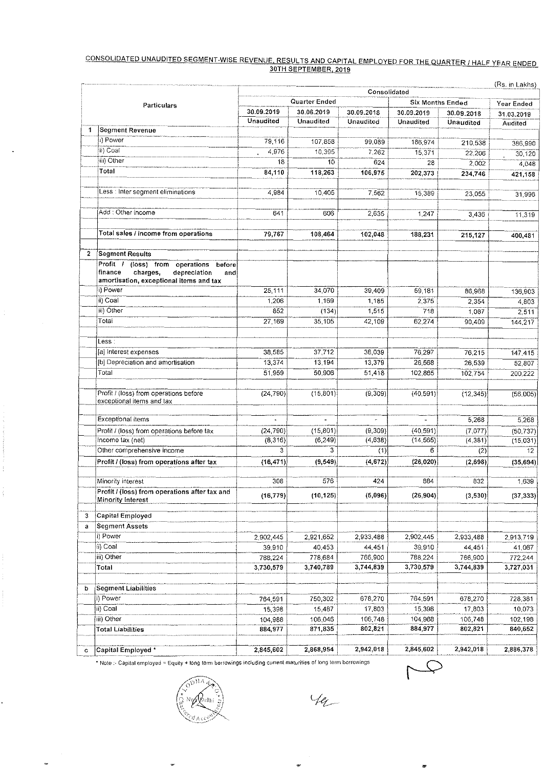# <u>CONSOLIDATED UNAUDITED SEGMENT-WISE REVENUE, RESULTS AND CAPITAL EMPLOYED FOR THE QUARTER / HALF YEAR ENDED</u><br>30TH SEPTEMBER, 2019

|                                                                                                                                          |                  |                             | Consolidated       |                    |                    | (Rs. in Lakhs)               |  |
|------------------------------------------------------------------------------------------------------------------------------------------|------------------|-----------------------------|--------------------|--------------------|--------------------|------------------------------|--|
|                                                                                                                                          |                  | <b>Six Months Ended</b>     |                    |                    |                    |                              |  |
| Particulars                                                                                                                              | 30.09.2019       | Quarter Ended<br>30.06.2019 | 30.09.2018         | 30.09.2019         | 30.09.2018         | Year Ended                   |  |
|                                                                                                                                          | <b>Unaudited</b> | Unaudited                   | Unaudited          | Unaudited          | Unaudited          | 31.03.2019<br><b>Audited</b> |  |
| <b>Segment Revenue</b><br>1                                                                                                              |                  |                             |                    |                    |                    |                              |  |
| i) Power                                                                                                                                 | 79,116           | 107.858                     | 99.089             | 186,974            | 210,538            | 386,990                      |  |
| ii) Coal                                                                                                                                 | 4,976            | 10,395                      | 7.262              | 15,371             | 22,206             | 30,120                       |  |
| (iii) Other                                                                                                                              | 18               | 10                          | 624                | 28                 | 2,002              | 4,048                        |  |
| Total                                                                                                                                    | 84,110           | 118,263                     | 106,975            | 202,373            | 234,746            | 421,158                      |  |
| Less : Inter segment eliminations                                                                                                        | 4,984            | 10.405                      | 7.562              | 15,389             | 23,055             | 31,996                       |  |
| Add : Other income                                                                                                                       | 641              | 606                         | 2,635              | 1,247              | 3,436              | 11,319                       |  |
| Total sales / income from operations                                                                                                     | 79,767           | 108,464                     | 102,048            | 188,231            | 215,127            | 400,481                      |  |
|                                                                                                                                          |                  |                             |                    |                    |                    |                              |  |
| <b>Segment Results</b><br>$\mathbf{2}$                                                                                                   |                  |                             |                    |                    |                    |                              |  |
| Profit /<br>(loss) from<br>operations<br>before<br>depreciation<br>finance<br>charges,<br>and<br>amortisation, exceptional items and tax |                  |                             |                    |                    |                    |                              |  |
| i) Power                                                                                                                                 | 25,111           | 34.070                      | 39,409             | 59,181             | 86,968             | 136,903                      |  |
| ii) Coal                                                                                                                                 | 1,206            | 1,169                       | 1.185              | 2,375              | 2,354              | 4.803                        |  |
| iii) Other                                                                                                                               | 852              | (134)                       | 1 5 1 5            | 718                | 1,087              | 2,511                        |  |
| Total                                                                                                                                    | 27,169           | 35,105                      | 42,109             | 62,274             | 90,409             | 144,217                      |  |
| Less :                                                                                                                                   |                  |                             |                    |                    |                    |                              |  |
| [a] Interest expenses                                                                                                                    | 38,585           | 37,712                      | 38,039             | 76,297             | 76,215             | 147,415                      |  |
| (b) Depreciation and amortisation                                                                                                        | 13,374           | 13 194                      | 13,379             | 26,568             | 26,539             | 52,807                       |  |
| Total                                                                                                                                    | 51,959           | 50,906                      | 51,418             | 102,865            | 102,754            | 200,222                      |  |
|                                                                                                                                          |                  |                             |                    |                    |                    |                              |  |
| Profit / (loss) from operations before<br>exceptional items and tax                                                                      | (24, 790)        | (15, 801)                   | (9, 309)           | (40, 591)          | (12, 345)          | (56,005)                     |  |
| Exceptional Items                                                                                                                        | $\Delta$         | $\blacksquare$              | ÷.                 | ÷,                 | 5,268              | 5,268                        |  |
| Profit / (loss) from operations before tax                                                                                               | (24, 790)        | (15, 801)                   | (9,309)            | (40.591)           | (7,077)            | (50, 737)                    |  |
| Income tax (net)                                                                                                                         | (8.316)          | (6, 249)                    | (4.638)            | (14, 565)          | (4, 381)           | (15,031)                     |  |
| Other comprehensive income                                                                                                               | 3                | 3                           | (1)                | 6                  | (2)                | 12 <sub>2</sub>              |  |
| Profit / (loss) from operations after tax                                                                                                | (16, 471)        | (9, 549)                    | (4, 672)           | (26, 020)          | (2,698)            | (35, 694)                    |  |
| Minority interest                                                                                                                        | 308              | 576                         | 424                | 884                | 832                | 1,639                        |  |
| Profit / (loss) from operations after tax and<br>Minority Interest                                                                       | (16, 779)        | (10, 125)                   | (5,096)            | (26, 904)          | (3,530)            | (37, 333)                    |  |
| Capital Employed<br>3                                                                                                                    |                  |                             |                    |                    |                    |                              |  |
| <b>Segment Assets</b><br>a                                                                                                               |                  |                             |                    |                    |                    |                              |  |
| i) Power                                                                                                                                 | 2,902,445        | 2,921,652                   | 2,933,488          | 2,902.445          | 2,933,488          | 2,913,719                    |  |
| ∣ii) Coat                                                                                                                                | 39,910           | 40 453                      | 44,451             | 39,910             | 44.451             | 41,067                       |  |
| iii) Other                                                                                                                               | 788,224          | 778,684                     | 766,900            | 788 224            | 766,900            | 772 244                      |  |
| Total                                                                                                                                    | 3,730,579        | 3,740,789                   | 3,744.839          | 3,730,579          | 3,744.839          | 3,727.031                    |  |
| Segment Liabilities                                                                                                                      |                  |                             |                    |                    |                    |                              |  |
| b<br>i) Power                                                                                                                            |                  |                             |                    |                    |                    |                              |  |
| iii) Coal                                                                                                                                | 764,591          | 750,302                     | 678,270            | 764,591            | 678,270            | 728 381                      |  |
| iii) Other                                                                                                                               | 15,398           | 15,487                      | 17 803             | 15,398             | 17,803             | 10 073                       |  |
|                                                                                                                                          | 104,988          | 106,046<br>871,835          | 106 748<br>802,821 | 104,988<br>884,977 | 106,748<br>802,821 | 102,198<br>840,652           |  |
| <b>Total Liabilities</b>                                                                                                                 | 884,977          |                             |                    |                    |                    |                              |  |
| Capital Employed *<br>c                                                                                                                  | 2,845,602        | 2,868,954                   | 2,942,018          | 2,845 602          | 2,942,018          | 2,886.378                    |  |

\* Note :- Capital employed = Equity + long term borrowings including current maturities of long term borrowings

 $_{\rm OHA}$ ehi

 $\ddot{\phantom{a}}$ 

oer

Yez

 $\mathcal{Q}$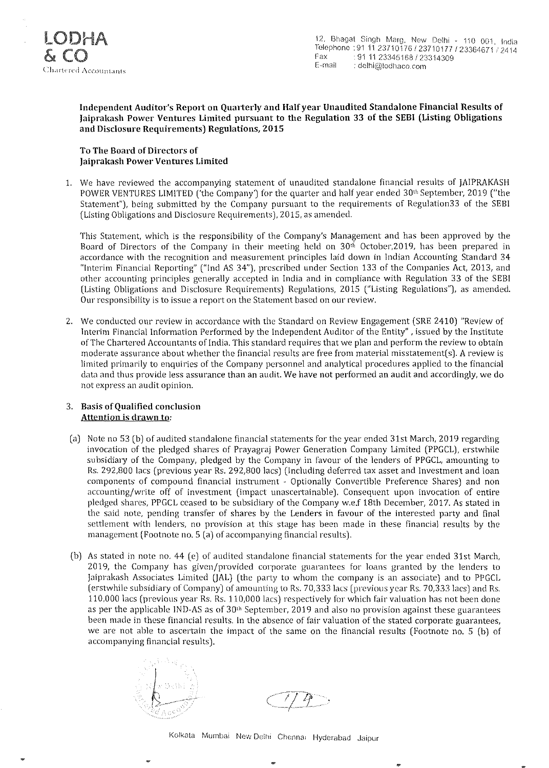

#### Independent Auditor's Report on Quarterly and HaJfyear Unaudited Standalone Financial Results of Jaiprakash Power Ventures Limited pursuant to the Regulation 33 of the SEBI (Listing Obligations and Disclosure Requirements) Regulations, 2015

#### To The Board of Directors of jaiprakash Power Ventures Limited

L We have reviewed the accompanying statement of unaudited standalone financial results of jAIPRAKASH POWER VENTURES LIMITED ('the Company') for the quarter and half year ended 30<sup>th</sup> September, 2019 ("the Statement"), being submitted hy the Company pursuant to the requirements of Regulation33 of the SEBI (Listing Obligations and Disclosure Requirements), 2015, as amended.

This Statement, which is the responsibility of the Company's Management and has been approved by the Board of Directors of the Company in their meeting held on  $30<sup>th</sup>$  October, 2019, has been prepared in accordance with the recognition and measurement principles laid down in Indian Accounting Standard 34 "Interim Financial Reporting" ("lnd AS 34"), prescribed under Section 133 of the Companies Act, 2013, and other accounting principles generally accepted in India and in compliance with Regulation 33 of the SEBI (Listing Obligations and Disclosure Requirements) Regulations, 2015 ("Listing Regulations"), as amended. Our responsibility is to issue a report on the Statement based on our review.

2. We conducted our review in accordance with the Standard on Review Engagement (SRE 2410) "Review of Interim Financial Information Performed by the Independent Auditor of the Entity" , issued by the Institute of The Chartered Accountants of India. This standard requires that we plan and perform the review to obtain moderate assurance about whether the financial results are free from material misstatement(s). A review is limited primarily to enquiries of the Company personnel and analytical procedures applied to the financial data and thus provide less assurance than an audit. We have not performed an audit and accordingly, we do not express an audit opinion.

#### 3. Basis of Qualified conclusion Attention is drawn to:

- (a) Note no 53 (b) of audited standalone financial statements for the year ended 31st March, 2019 regarding invocation of the pledged shares of Prayagraj Power Generation Company Limited (PPGCL), erstwhile subsidiary of the Company, pledged by the Company in favour of the lenders of PPGCL, amounting to Rs. 292,800 lacs (previous year Rs. 292,800 lacs) (Including deferred tax asset and Investment and loan components of compound financial instrument - Optionally Convertible Preference Shares) and non accounting/write off of investment (impact unascertainable). Consequent upon invocation of entire pledged shares, PPGCL ceased to he subsidiary of the Company w.e.f 18th December, 2017. As stated in the said note, pending transfer of shares by the Lenders in favour of the interested party and final settlement with lenders, no provision at this stage has been made in these financial results by the management (Footnote no. 5 (a) of accompanying financial results).
- (b) As stated in note no. 44 (e) of audited standalone financial statements for the year ended 31st March, 2019, the Company has given/provided corporate guarantees for loans granted by the lenders to jaiprakash Associates Limited (JAL) (the party to whom the company is an associate) and to PPGCL (erstwhile subsidiary of Company) of amounting to Rs. 70,333 lacs (previous year Rs. 70,333 lacs) and Rs. 110,000 lacs (previous year Rs. Rs. 110,000 lacs) respectively for which fair valuation has not been done as per the applicable IND-AS as of  $30<sup>th</sup>$  September, 2019 and also no provision against these guarantees been made in these financial results. In the absence of fair valuation of the stated corporate guarantees, we are not able to ascertain the impact of the same on the financial results (Footnote no. 5 (b) of accompanying financial results).



Kolkata Mumbai New Delhi Chennal Hyderabad Jaipur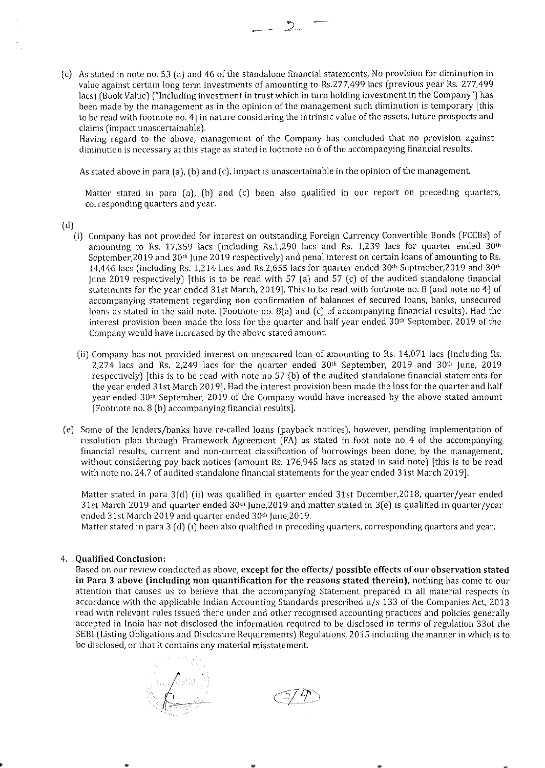(c) As stated in note no. 53 (a) and 46 of the standalone financial statements, No provision for diminution in value against certain long term investments of amounting to Rs.277,499 lacs (previous year Rs. 277,499 lacs) (Book Value) ("Including investment in trust which in turn holding investment in the Company") has been made by the management as in the opinion of the management such diminution is temporary [this to be read with footnote no. 4] in nature considering the intrinsic value of the assets, future prospects and claims (impact unascertainable).

Having regard to the above, management of the Company has concluded that no provision against **diminution is necessary at this stage as stated in footnote no 6** of the **accompanying financial results,** 

As stated above in para (a), (b) and (c), impact is unascertainable in the opinion of the management.

Matter stated in para (a), (b) and (c) been also qualified in our report on preceding quarters, **corresponding quarters and year.** 

(d)

- (i) Company has not provided for interest on outstanding Foreign Currency Convertible Bonds (FCCBs) of amounting to Rs. 17,359 lacs (including Rs.1,290 lacs and Rs. 1,239 lacs for quarter ended  $30<sup>th</sup>$ September, 2019 and 30<sup>th</sup> June 2019 respectively) and penal interest on certain loans of amounting to Rs. 14,446 lacs (including Rs. 1,214 lacs and Rs.2,655 lacs for quarter ended 30<sup>th</sup> Septmeber,2019 and 30<sup>th</sup> June 2019 respectively) [this is to be read with 57 (a) and 57 (c) of the audited standalone financial statements for the year ended 31st March, 2019]. This to be read with footnote no. 8 (and note no 4) of accompanying statement regarding non confirmation of balances of secured loans, banks, unsecured loans as stated in the said note. [Footnote no. 8(a) and (e) of accompanying financial results). Had the interest provision been made the loss for the quarter and half year ended  $30<sup>th</sup>$  September, 2019 of the **Company would have increased by the above stated amount.** 
	- (ii) Company has not provided interest on unsecured loan of amounting to Rs. 14,071 lacs (including Rs.  $2,274$  lacs and Rs, 2,249 lacs for the quarter ended  $30<sup>th</sup>$  September, 2019 and  $30<sup>th</sup>$  June, 2019 respectively) [this is to be read with note no 57 (b) of the audited standalone financial statements for the year ended 31st March 2019]. Had the interest provision been made the loss for the quarter and half year ended 30<sup>th</sup> September, 2019 of the Company would have increased by the above stated amount [Footnote no. 8 (b) accompanying financial results].
- (e) Some of the lenders/banks have re-called loans (payback notices), however, pending implementation of resolution plan through Framework Agreement (FA) as stated in foot note no 4 of the accompanying financial results, current and non-current classification of borrowings been done, by the management. without considering pay back notices (amount Rs. 176,945 lacs as stated in said note) [this is to be read with note no. 24.7 of audited standalone financial statements for the year ended 31st March 2019].

Matter stated in para  $3(d)$  (ii) was qualified in quarter ended 31st December, 2018, quarter/year ended 31st March 2019 and quarter ended 30<sup>th</sup> June,2019 and matter stated in 3(e) is qualified in quarter/year ended 31st March 2019 and quarter ended 30th June,2019.

Matter stated in para 3 (d) (i) been also qualified in preceding quarters, corresponding quarters and year.

#### 4. Qualified Conclusion:

Based on our review conducted as above, except for the effects/ possible effects of our observation stated in Para 3 above (including non quantification for the reasons stated therein), nothing has come to our attention that causes us to believe that the accompanying Statement prepared in all material respects in accordance with the applicable Indian Accounting Standards prescribed u/s 133 of the Companies Act, 2013 read with relevant rules issued there under and other recognised accounting practices and policies generally accepted in India has not disclosed the information required to be disclosed in terms of regulation 330f the SEBI (Listing Obligations and Disclosure Requirements) Regulations, 2015 including the manner in which is to **be disclosed, or that it contains any material misstatement.** 

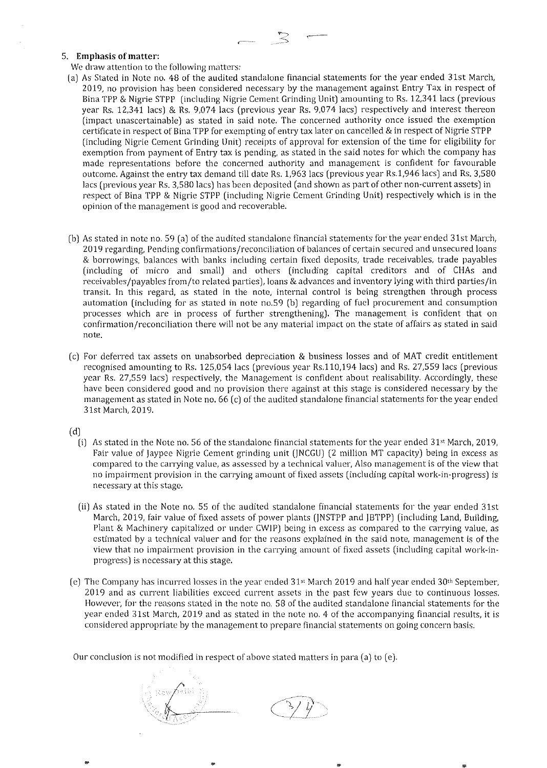$$
\sum_{i=1}^{\infty} \frac{1}{i} \sum_{i=1}^{\infty} \frac{1}{i} \sum_{i=1}^{\infty} \frac{1}{i} \sum_{i=1}^{\infty} \frac{1}{i} \sum_{i=1}^{\infty} \frac{1}{i} \sum_{i=1}^{\infty} \frac{1}{i} \sum_{i=1}^{\infty} \frac{1}{i} \sum_{i=1}^{\infty} \frac{1}{i} \sum_{i=1}^{\infty} \frac{1}{i} \sum_{i=1}^{\infty} \frac{1}{i} \sum_{i=1}^{\infty} \frac{1}{i} \sum_{i=1}^{\infty} \frac{1}{i} \sum_{i=1}^{\infty} \frac{1}{i} \sum_{i=1}^{\infty} \frac{1}{i} \sum_{i=1}^{\infty} \frac{1}{i} \sum_{i=1}^{\infty} \frac{1}{i} \sum_{i=1}^{\infty} \frac{1}{i} \sum_{i=1}^{\infty} \frac{1}{i} \sum_{i=1}^{\infty} \frac{1}{i} \sum_{i=1}^{\infty} \frac{1}{i} \sum_{i=1}^{\infty} \frac{1}{i} \sum_{i=1}^{\infty} \frac{1}{i} \sum_{i=1}^{\infty} \frac{1}{i} \sum_{i=1}^{\infty} \frac{1}{i} \sum_{i=1}^{\infty} \frac{1}{i} \sum_{i=1}^{\infty} \frac{1}{i} \sum_{i=1}^{\infty} \frac{1}{i} \sum_{i=1}^{\infty} \frac{1}{i} \sum_{i=1}^{\infty} \frac{1}{i} \sum_{i=1}^{\infty} \frac{1}{i} \sum_{i=1}^{\infty} \frac{1}{i} \sum_{i=1}^{\infty} \frac{1}{i} \sum_{i=1}^{\infty} \frac{1}{i} \sum_{i=1}^{\infty} \frac{1}{i} \sum_{i=1}^{\infty} \frac{1}{i} \sum_{i=1}^{\infty} \frac{1}{i} \sum_{i=1}^{\infty} \frac{1}{i} \sum_{i=1}^{\infty} \frac{1}{i} \sum_{i=1}^{\infty} \frac{1}{i} \sum_{i=1}^{\infty} \frac{1}{i}
$$

#### **5. Emphasis of matter:**

**We draw attention to the following matters:** 

- (a) As Stated in Note no. 48 of the audited standalone financial statements for the year ended 31st March, 2019, no provision has been considered necessary by the management against Entry Tax in respect of Bina TPP & Nigrie STPP (including Nigrie Cement Grinding Unit) amounting to Rs. 12,341 lacs (previous year Rs. 12,341 lacs) & Rs. 9,074 lacs (previous year Rs. 9,074 lacs) respectively and interest thereon (impact unascertainable) as stated in said note. The concerned authority once issued the exemption certificate in respect of Bina TPP for exempting of entry tax later on cancelled & in respect of Nigrie STPP (including Nigrie Cement Grinding Unit) receipts of approval for extension of the time for eligibility for exemption from payment of Entry tax is pending, as stated in the said notes for which the company has made representations before the concerned authority and management is confident for favourable outcome. Against the entry tax demand till date Rs. 1,963 lacs (previous year Rs.1,946 lacs) and Rs. 3,580 lacs (previous year Rs. 3,580 lacs) has been deposited (and shown as part of other non-current assets) in respect of Bina TPP & Nigrie STPP (including Nigrie Cement Grinding Unit) respectively which is in the **opinion of the management is good and recoverable.**
- (b) As stated in note no. 59 (a) of the audited standalone financial statements for the year ended 31st March, **2019 regarding, Pending confirmations/reconciliation of balances of certain secured and unsecured loans**  & borrowings, balances with banks including certain fixed deposits, trade receivables, trade payables (including of micro and small) and others (including capital creditors and of CHAs and receivables/payables from/to related parties), loans & advances and inventory lying with third parties/in transit. In this regard, as stated in the note, internal control is being strengthen through process automation (including for as stated in note no.59 (b) regarding of fuel procurement and consumption processes which are in process of further strengthening). The management is confident that on **confirmation/reconciliation there will not be any material impact on the state of affairs as stated in said note.**
- (e) For deferred tax assets on unabsorbed depreciation & business losses and of MAT credit entitlement recognised amounting to Rs. 125,054 lacs (previous year Rs.110,194 lacs) and Rs. 27,559 lacs (previous year Rs. 27,559 lacs) respectively, the Management is confident about realisability. Accordingly, these have been considered good and no provision there against at this stage is considered necessary by the management as stated in Note no. 66 (c) of the audited standalone financial statements for the year ended 31st March, 2019.

 $(d)$ 

- (i) As stated in the Note no. 56 of the standalone financial statements for the year ended  $31<sup>st</sup>$  March, 2019, Fair value of Jaypee Nigrie Cement grinding unit (JNCGU) (2 million MT capacity) being in excess as compared to the carrying value, as assessed by a technical valuer, Also management is of the view that **no impairment provision in the carrying amount of fixed assets (including capital** work~in~progress) **is necessary at this stage.**
- (ii) As stated in the Note no. 55 of the audited standalone financial statements for the year ended 31st March, 2019, fair value of fixed assets of power plants (JNSTPP and JBTPP) (including Land, Building, Plant & Machinery capitalized or under CWIP) being in excess as compared to the carrying value, as **estimated by a technical valuer and for the reasons explained in the said note, management is of the**  view that no impairment provision in the carrying amount of fixed assets (including capital work-inprogress) is necessary at this stage.
- (e) The Company has incurred losses in the year ended  $31<sup>st</sup>$  March 2019 and half year ended  $30<sup>th</sup>$  September, **2019 and as current liabilities exceed current assets in the past few years due to continuous losses.**  However, for the reasons stated in the note no. 58 of the audited standalone financial statements for the year ended 31st March, 2019 and as stated in the note no. 4 of the accompanying financial results, it is **considered appropriate by the management to prepare financial statements on going concern basis.**

Our conclusion is not modified in respect of above stated matters in para (a) to ( *e).*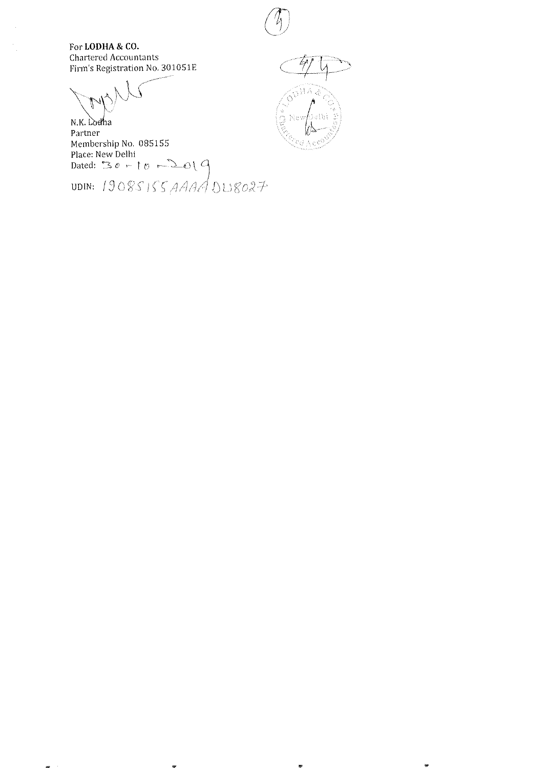

For LODHA & CO. Chartered Accountants Firm's Registration No. 301051E

 $\frac{1}{2}$ 

N.K. Lodha Partner Partiler<br>Membership No. 085155<br>Place: New Delhi<br>Dated:  $30 - 10$   $-201$   $9$ <br>UDIN:  $19085155$   $AAAA$   $DUS027$ 

。<br>在位 ethi

₩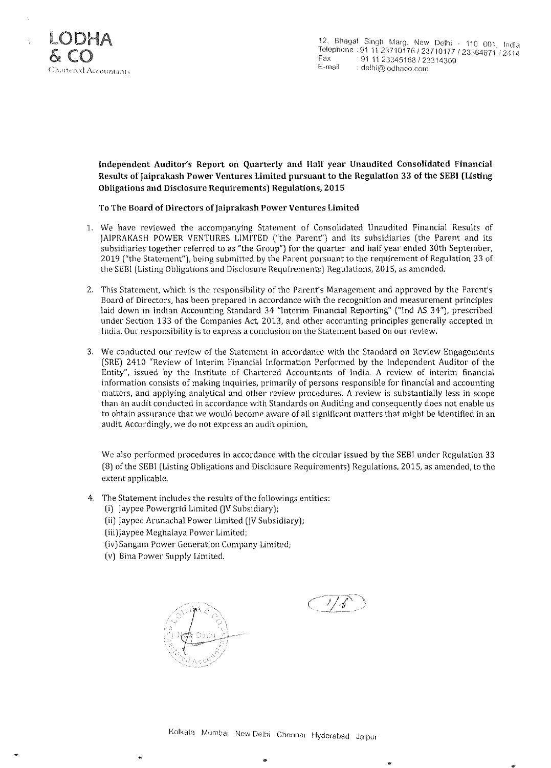

Independent Auditor's Report on Quarterly and Half year Unaudited Consolidated Financial Results of Jaiprakash Power Ventures Limited pursuant to the Regulation 33 of the SEBI (Listing Obligations and Disclosure Requirements) Regulations, 2015

To The Board of Directors of Jaiprakash Power Ventures Limited

- 1. We have reviewed the accompanying Statement of Consolidated Unaudited Financial Results of JAIPRAKASH POWER VENTURES LIMITED ("the Parent") and its subsidiaries (the Parent and its subsidiaries together referred to as "the Group") for the quarter and half year ended 30th September, 2019 ("the Statement"), being submitted by the Parent pursuant to the requirement of Regulation 33 of the SEBI (Listing Obligations and Disclosure Requirements) Regulations, 2015, as amended.
- 2. This Statement, which is the responsibility of the Parent's Management and approved by the Parent's **Board of Directors, has been prepared in accordance with the recognition and measurement principles**  laid down in Indian Accounting Standard 34 "Interim Financial Reporting" ("Ind AS 34"), prescribed under Section 133 of the Companies Act. 2013, and other accounting principles generally accepted in **India. Our responsibility is to express a conclusion on the Statement based on our review.**
- **3. We conducted our review of the Statement in accordance with the Standard on Review Engagements**  (SRE) 2410 "Review of Interim Financial Information Performed by the Independent Auditor of the Entity", issued by the Institute of Chartered Accountants of India. A review of interim financial **information consists of making inquiries, primarily of persons responsible for financial and accounting**  matters, and applying analytical and other review procedures. A review is substantially less in scope **than an audit conducted in accordance with Standards on Auditing and consequently does not enable us to obtain assurance that we would become aware of all significant matters that might be identified in an audit. Accordingly, we do not express an audit opinion.**

We also performed procedures in accordance with the circular issued by the SEBI under Regulation 33 (8) of the SEBI (Listing Obligations and Disclosure Requirements) Regulations, 2015, as amended, to the **extent applicable.** 

- 4. The Statement includes the results of the followings entities:
	- (i) Jaypee Powergrid Limited (JV Subsidiary);
	- (ii) Jaypee Arunachal Power Limited (JV SubSidiary);
	- (iii)Jaypee Meghalaya Power Limited;
	- **(iv)Sangam Power Generation Company Lirnited;**
	- (v) Bina Power Supply Limited.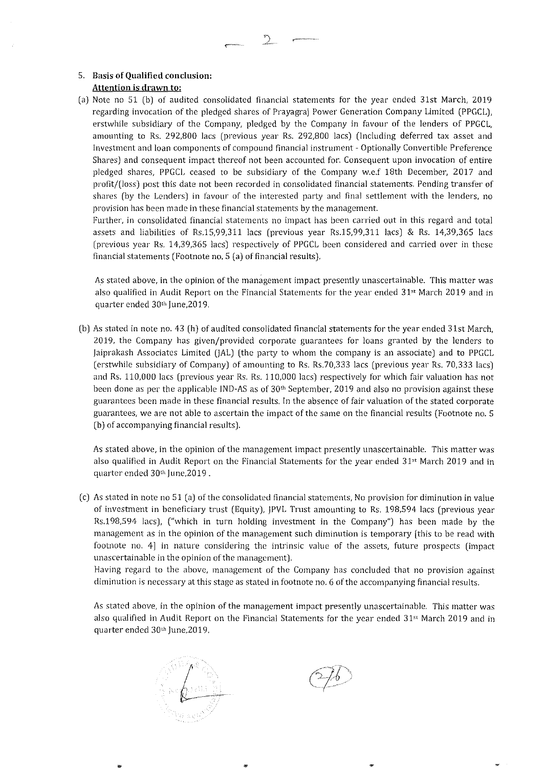#### 5. Basis of Qualified conclusion: **Attention is drawn to:**

(a) Note no 51 (b) of audited consolidated financial statements for the year ended 31st March, 2019 regarding invocation of the pledged shares of Prayagraj Power Generation Company Limited (PPGCL), erstwhile subsidiary of the Company, pledged by the Company in favour of the lenders of PPGCL, amounting to Rs. 292,800 lacs (previous year Rs. 292,800 lacs) (Including deferred tax asset and **Investment and loan components of compound financial instrument - Optionally Convertible Preference Shares) and consequent impact thereof not been accounted for. Consequent upon invocation of entire**  pledged shares, PPGCL ceased to be subsidiary of the Company w.e.f 18th December, 2017 and profit/(loss) post this date not been recorded in consolidated financial statements. Pending transfer of shares (by the Lenders) in favour of the interested party and final settlement with the lenders, no **provision has been made in these financial statements by the management.** 

**Further, in consolidated financial statements no impact has been carried out in this regard and total**  assets and liabilities of Rs.15,99,311 lacs (previous year Rs.15,99,311 lacs) & Rs. 14,39,365 lacs (previous year Rs. 14,39,365 lacs) respectively of PPGCL been considered and carried over in these financial statements (Footnote no. 5 (a) of financial results).

**As stated above, in the opinion of the management impact presently unascertainable. This matter was**  also qualified in Audit Report on the Financial Statements for the year ended 31" March 2019 and in quarter ended 30th June, 2019.

(b) As stated in note no. 43 (h) of audited consolidated financial statements for the year ended 31st March, 2019, the Company has given/provided corporate guarantees for loans granted by the lenders to jaiprakash Associates Limited (JAL) (the party to whom the company is an associate) and to PPGCL (erstwhile subsidiary of Company) of amounting to Rs. Rs.70,333 lacs (previous year Rs. 70,333 lacs) and Rs. 110,000 lacs (previous year Rs. Rs. 110,000 lacs) respectively for which fair valuation has not been done as per the applicable IND-AS as of 30<sup>th</sup> September, 2019 and also no provision against these **guarantees been made in these financial results. In the absence of fair valuation** of the **stated corporate guarantees, we are not able to ascertain the impact of the same on the financial results (Footnote no. 5**  (b) of accompanying financial results).

**As stated above, in the opinion of the management impact presently unascertainable. This matter was**  also qualified in Audit Report on the Financial Statements for the year ended 31<sup>st</sup> March 2019 and in quarter ended 30<sup>th</sup> June, 2019.

**(c) As stated in note no 51 (a)** of the **consolidated t1nancial statements, No provision for diminution in value**  of investment in beneficiary trust (Equity), jPVL Trust amounting to Rs. 198,594 lacs (previous year Rs.198,594 lacs), ("which in turn holding investment in the Company") has been made by the **management as in the opinion of the management such diminution is temporary [this to be read with footnote no. 4] in nature considering the intrinsic value of the assets, future prospects (impact unascertainable in the opinion** of the **management).** 

**Having regard to the above, rnanagement of the Company has concluded that no provision against**  diminution is necessary at this stage as stated in footnote no. 6 of the accompanying financial results.

**As stated above, in the opinion of the management impact presently unascertainable. This matter was**  also qualified in Audit Report on the Financial Statements for the year ended  $31<sup>st</sup>$  March 2019 and in quarter ended 30'" june,20 19.

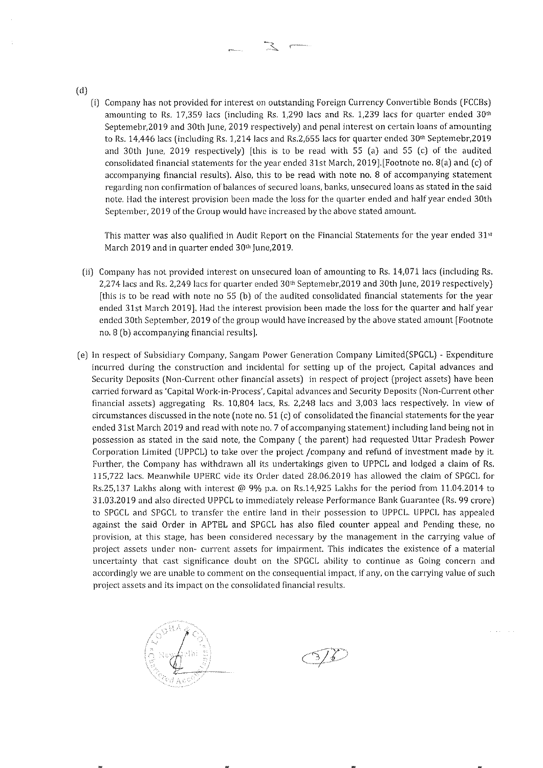- (d)
	- (i) Company has not provided for interest on outstanding Foreign Currency Convertible Bonds (FCCBs) amounting to Rs. 17,359 lacs (including Rs. 1,290 lacs and Rs. 1,239 lacs for quarter ended  $30<sup>th</sup>$ Septemebr,2019 and 30th june, 2019 respectively) and penal interest on certain loans of amounting to Rs. 14,446 lacs (including Rs. 1,214 lacs and Rs.2,655 lacs for quarter ended  $30<sup>th</sup>$  Septemebr,2019 and 30th june, 2019 respectively) [this is to be read with 55 (a) and 55 (c) of the audited consolidated financial statements for the year ended 31st March, 2019].[Footnote no. 8(a) and (c) of **accompanying financial results). Also, this to be read with note no. 8 of accompanying statement regarding non confirmation** of balances **of secured loans, banks, unsecured loans as stated in the said**  note. Had the interest provision been made the loss for the quarter ended and half year ended 30th September, 2019 of the Group would have increased by the above stated amount.

This matter was also qualified in Audit Report on the Financial Statements for the year ended  $31st$ March 2019 and in quarter ended 30<sup>th</sup> June, 2019.

- (ii) Company has not provided interest on unsecured loan of amounting to Rs. 14,071 lacs (including Rs. 2,274 lacs and Rs. 2,249 lacs for quarter ended 30<sup>th</sup> Septemebr, 2019 and 30th June, 2019 respectively) [this is to be read with note no 55 (b) of the audited consolidated financial statements for the year ended 31st March 2019]. Had the interest provision been made the loss for the quarter and half year ended 30th September, 2019 of the group would have increased by the above stated amount [Footnote **no.8 (b) accompanying financial results].**
- (e) In respect of Subsidiary Company, Sangam Power Generation Company Limited(SPGCL) Expenditure incurred during the construction and incidental for setting up of the project, Capital advances and Security Deposits (Non-Current other financial assets) in respect of project (project assets) have been **carried forward as 'Capital** Work~in-Process', **Capital advances and Security Deposits (Non-Current other**  financial assets) aggregating Rs. 10,804 lacs, Rs. 2,248 lacs and 3,003 lacs respectively. In view of circumstances discussed in the note (note no.  $51$  (c) of consolidated the financial statements for the year ended 31st March 2019 and read with note no. 7 of accompanying statement) including land being not in possession as stated in the said note, the Company ( the parent) had requested Uttar Pradesh Power Corporation Limited (UPPCL) to take over the project /company and refund of investment made by it Further, the Company has withdrawn all its undertakings given to UPPCL and lodged a claim of Rs. 115,722 lacs. Meanwhile UPERC vide its Order dated 28.06.2019 has allowed the claim of SPGCL for Rs.25,137 Lakhs along with interest @ 9% p.a. on Rs.14,925 Lakhs for the period from 11.04.2014 to 31.03.2019 and also directed U PPCL to immediately release Performance Bank Guarantee (Rs. 99 crore) to SPGCL and SPGCL to transfer the entire land in their possession to UPPCL. UPPCL has appealed against the said Order in APTEL and SPGCL has also filed counter appeal and Pending these, no provision, at this stage, has been considered necessary by the management in the carrying value of project assets under non- current assets for impairment. This indicates the existence of a material **uncertainty that cast significance doubt on the SPGCL ability to continue as Going concern and accordingly we are unable to comment on the consequential impact, if any, on the carrying value of such project assets and its impact on the consolidated financial results.**

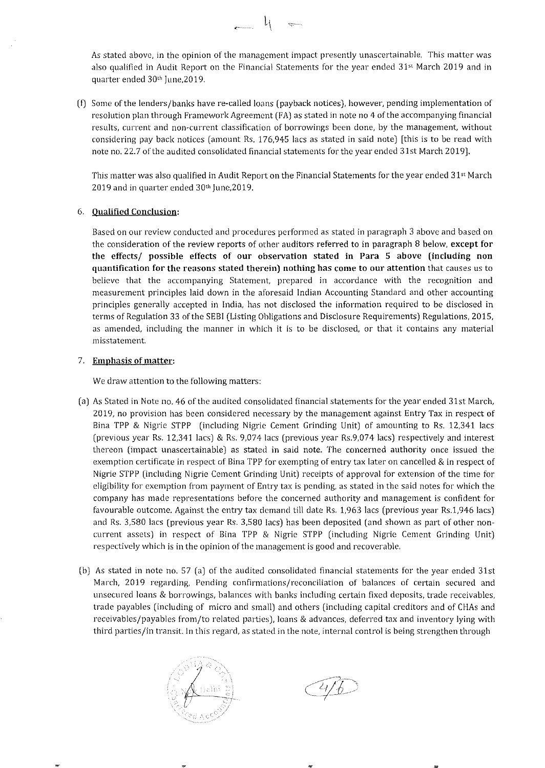As stated above, in the opinion of the management impact presently unascertainable, This matter was also qualified in Audit Report on the Financial Statements for the year ended 31" March 2019 and in quarter ended 30<sup>th</sup> June, 2019.

 $-1$ 

(I) Some of the lenders/banks have re-called loans (payback notices), however, pending implementation of resolution plan through Framework Agreement (FA) as stated in note no 4 of the accompanying financial results, current and non-current ciassiflcation of borrowings been done, by the management, without considering pay back notices (amount Rs. 176,945 lacs as stated in said note) [this is to be read with note no. 22.7 of the audited consolidated financial statements for the year ended 31st March 2019J.

This matter was also qualified in Audit Report on the Financial Statements for the year ended 31" March 2019 and in quarter ended 30<sup>th</sup> June, 2019.

#### 6. Qualified Conclusion:

Based on our review conducted and procedures performed as stated in paragraph 3 *above* and based on the consideration of the review reports of other auditors referred to in paragraph 8 below, except for the effects/ possible effects of our observation stated in Para 5 above (including non **quantification for the reasons stated therein) nothing has come to our attention** that causes us to believe that the accompanying Statement, prepared in accordance with the recognition and measurement principles laid down in the aforesaid Indian Accounting Standard and other accounting principles generally accepted in India, has not disclosed the information required to be disclosed in terms of Regulation 33 of the SEBI (Listing Obligations and Disclosure Requirements) Regulations, 2015, as amended, including the manner in which it is to be disclosed, or that it contains any material misstatement.

#### 7. Emphasis of matter:

We draw attention to the following matters:

- (a) As Stated in Note no. 46 of the audited consolidated financial statements for the year ended 31st March, 2019, no provision has been considered necessary by the management against Entry Tax in respect of Bina TPP & Nigrie STPP (including Nigrie Cement Grinding Unit) of amounting to Rs. 12,341 lacs (previous year Rs. 12,341 lacs) & Rs. 9,074 lacs (previous year Rs.9,074 lacs) respectively and interest thereon (impact unascertainable) as stated in said note, The concerned authority once issued the exemption certificate in respect of Bina TPP for exempting of entry tax later on cancelled & in respect of Nigrie STPP (including Nigrie Cement Grinding Unit) receipts of approval for extension of the time for eligibility for exemption from payment of Entry tax is pending, as stated in the said notes for which the company has made representations before the concerned authority and management is confident for favourable outcome. Against the entry tax demand till date Rs. 1,963 lacs (previous year Rs.1,946 lacs) and Rs. 3,580 lacs (previous year Rs. 3,580 lacs) has been deposited (and shown as part of other noncurrent assets) in respect of Bina TPP & Nigrie STPP (including Nigrie Cement Grinding Unit) respectively which is in the opinion of the management is good and recoverable,
- (b) As stated in note no. 57 (a) of the audited consolidated financial statements for the year ended 31st March, 2019 regarding, Pending confirmations/reconciliation of balances of certain secured and unsecured loans & borrowings, balances with banks including certain fixed deposits, trade receivables, trade payables (including of micro and small) and others (including capital creditors and of CHAs and receivables/payables from/to related parties), loans & advances, deferred tax and inventory lying with third parties/in transit. In this regard, as stated in the note, internal control is being strengthen through

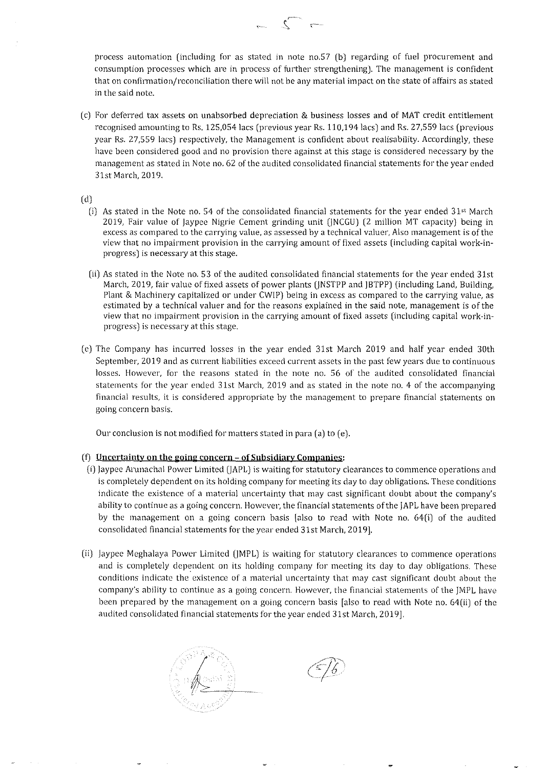**process automation (including for as stated in note no.57 (b) regarding of fuel procurement and consumption processes which are in process of further strengthening). The management is confident that on confirmation/reconciliation there will not be any material impact on the state of affairs as stated in the said note.** 

 $\sim$   $\sim$ 

(c) For deferred tax assets on unabsorbed depreciation & business losses and of MAT credit entitlement recognised amounting to Rs. 125,054 lacs (previous year Rs. 110,194 lacs) and Rs. 27,559 lacs (previous year Rs. 27,559 lacs) respectively, the Management is confident about realisability. Accordingly, these **have been considered good and no provision there against at this stage is considered necessary by the management as stated in Note no. 62 of the audited consolidated financial statements for the year ended**  31st March, 2019.

(d)

- (i) As stated in the Note no. 54 of the consolidated financial statements for the year ended  $31<sup>st</sup>$  March 2019, Fair value of Jaypee Nigrie Cement grinding unit (jNCGU) (2 million MT capacity) being in **excess as compared to the carrying value, as assessed by a technical valuer, Also management is** of the view that no impairment provision in the carrying amount of fixed assets (including capital work-inprogress) is necessary at this stage.
- (ii) As stated in the Note no. 53 of the audited consolidated financial statements for the year ended 31st March, 2019, fair value of fixed assets of power plants (jNSTPP and JBTPP) (including Land, Building, Plant & Machinery capitalized or under CWIP) being in excess as compared to the carrying value, as **estimated by a technical valuer and for the reasons explained in the said note, management is of the**  view that no impairment provision in the carrying amount of fixed assets (including capital work-inprogress) is necessary at this stage.
- (e) The Company has incurred losses in the year ended 31st March 2019 and half year ended 30th **September, 2019 and as current liabilities exceed current assets in the past few years due to continuous losses. However, for the reasons stated in the note no. 56 of the audited consolidated financial statements for the year ended 31st March, 2019 and as stated in the note no. 4 of the accompanying financial results, it is considered appropriate by the management to prepare financial statements on going concern basis.**

Our conclusion is not modified for matters stated in para (a) to (e).

#### **(fJ Uncertainty on the going concern - of Subsidiary Companies:**

- (i) Jaypee Arunachal Power Limited (jAPL) is waiting for statutory clearances to commence operations and is completely dependent on its holding company for meeting its day to day obligations. These conditions **indicate the existence of a material uncertainty that may cast significant doubt about the company's**  ability to continue as a going concern. However, the financial statements of the JAPL have been prepared by the management on a going concern basis [also to read with Note no. 64(i) of the audited consolidated financial statements for the year ended 31st March, 2019].
- (ii) Jaypee Meghalaya Power Limited (JMPL) is waiting for statutory clearances to commence operations and is completely dependent on its holding company for meeting its day to day obligations. These **conditions indicate the existence of a material uncertainty that may cast significant doubt about the company's ability to continue as a going concern. However, the financial statements of the JMPL have**  been prepared by the management on a going concern basis [also to read with Note no. 64(ii) of the audited consolidated financial statements for the year ended 31st March, 2019].